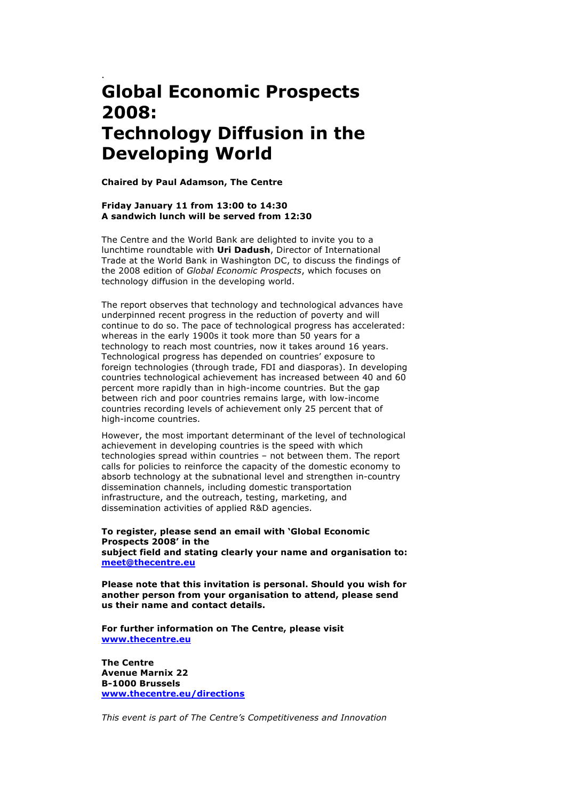## . **Global Economic Prospects 2008: Technology Diffusion in the Developing World**

**Chaired by Paul Adamson, The Centre**

## **Friday January 11 from 13:00 to 14:30 A sandwich lunch will be served from 12:30**

The Centre and the World Bank are delighted to invite you to a lunchtime roundtable with **Uri Dadush**, Director of International Trade at the World Bank in Washington DC, to discuss the findings of the 2008 edition of *Global Economic Prospects*, which focuses on technology diffusion in the developing world.

The report observes that technology and technological advances have underpinned recent progress in the reduction of poverty and will continue to do so. The pace of technological progress has accelerated: whereas in the early 1900s it took more than 50 years for a technology to reach most countries, now it takes around 16 years. Technological progress has depended on countries' exposure to foreign technologies (through trade, FDI and diasporas). In developing countries technological achievement has increased between 40 and 60 percent more rapidly than in high-income countries. But the gap between rich and poor countries remains large, with low-income countries recording levels of achievement only 25 percent that of high-income countries.

However, the most important determinant of the level of technological achievement in developing countries is the speed with which technologies spread within countries – not between them. The report calls for policies to reinforce the capacity of the domestic economy to absorb technology at the subnational level and strengthen in-country dissemination channels, including domestic transportation infrastructure, and the outreach, testing, marketing, and dissemination activities of applied R&D agencies.

**To register, please send an email with 'Global Economic Prospects 2008' in the subject field and stating clearly your name and organisation to: meet@thecentre.eu**

**Please note that this invitation is personal. Should you wish for another person from your organisation to attend, please send us their name and contact details.**

**For further information on The Centre, please visit www.thecentre.eu**

**The Centre Avenue Marnix 22 B-1000 Brussels www.thecentre.eu/directions**

*This event is part of The Centre's Competitiveness and Innovation*